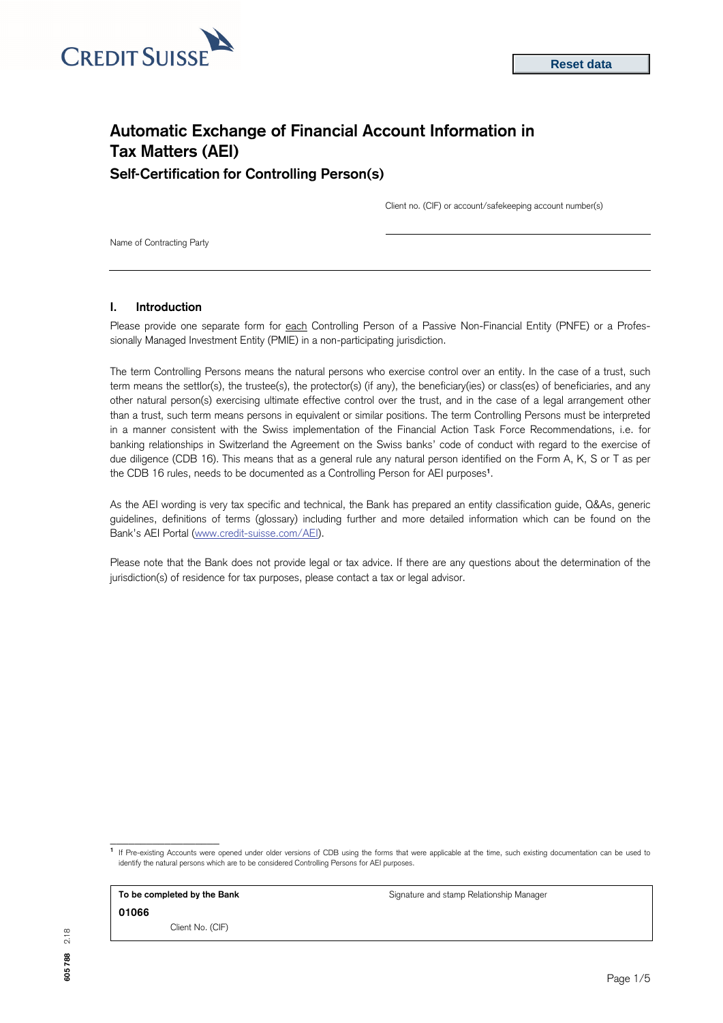

# **Automatic Exchange of Financial Account Information in Tax Matters (AEI) Self-Certification for Controlling Person(s)**

Client no. (CIF) or account/safekeeping account number(s)

Name of Contracting Party

## **I. Introduction**

Please provide one separate form for each Controlling Person of a Passive Non-Financial Entity (PNFE) or a Professionally Managed Investment Entity (PMIE) in a non-participating jurisdiction.

The term Controlling Persons means the natural persons who exercise control over an entity. In the case of a trust, such term means the settlor(s), the trustee(s), the protector(s) (if any), the beneficiary(ies) or class(es) of beneficiaries, and any other natural person(s) exercising ultimate effective control over the trust, and in the case of a legal arrangement other than a trust, such term means persons in equivalent or similar positions. The term Controlling Persons must be interpreted in a manner consistent with the Swiss implementation of the Financial Action Task Force Recommendations, i.e. for banking relationships in Switzerland the Agreement on the Swiss banks' code of conduct with regard to the exercise of due diligence (CDB 16). This means that as a general rule any natural person identified on the Form A, K, S or T as per the CDB 16 rules, needs to be documented as a Controlling Person for AEI purposes**<sup>1</sup>**.

As the AEI wording is very tax specific and technical, the Bank has prepared an entity classification guide, Q&As, generic guidelines, definitions of terms (glossary) including further and more detailed information which can be found on the Bank's AEI Portal [\(www.credit-suisse.com/AEI\).](http://www.credit-suisse.com/AEI) 

Please note that the Bank does not provide legal or tax advice. If there are any questions about the determination of the jurisdiction(s) of residence for tax purposes, please contact a tax or legal advisor.

**1** If Pre-existing Accounts were opened under older versions of CDB using the forms that were applicable at the time, such existing documentation can be used to identify the natural persons which are to be considered Controlling Persons for AEI purposes.

**To be completed by the Bank Signature and stamp Relationship Manager** Signature and stamp Relationship Manager **01066** 

\_\_\_\_\_\_\_\_\_\_\_\_\_\_\_\_\_\_

Client No. (CIF)

**605 788** 2.18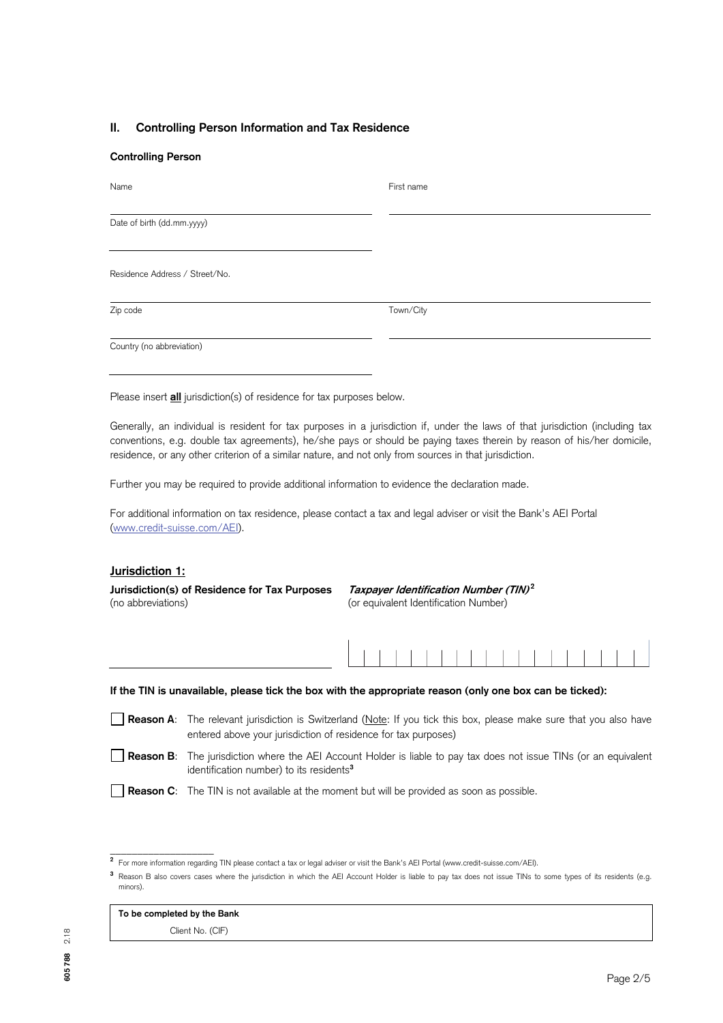# **II. Controlling Person Information and Tax Residence**

### **Controlling Person**

| Name                           | First name |
|--------------------------------|------------|
| Date of birth (dd.mm.yyyy)     |            |
| Residence Address / Street/No. |            |
| Zip code                       | Town/City  |
| Country (no abbreviation)      |            |

Please insert **all** jurisdiction(s) of residence for tax purposes below.

Generally, an individual is resident for tax purposes in a jurisdiction if, under the laws of that jurisdiction (including tax conventions, e.g. double tax agreements), he/she pays or should be paying taxes therein by reason of his/her domicile, residence, or any other criterion of a similar nature, and not only from sources in that jurisdiction.

Further you may be required to provide additional information to evidence the declaration made.

For additional information on tax residence, please contact a tax and legal adviser or visit the Bank's AEI Portal [\(www.credit-suisse.com/AEI\).](http://www.credit-suisse.com/AEI) 

# **Jurisdiction 1:**

**Jurisdiction(s) of Residence for Tax Purposes Taxpayer Identification Number (TIN)<sup>2</sup>** (no abbreviations) (or equivalent Identification Number)



**If the TIN is unavailable, please tick the box with the appropriate reason (only one box can be ticked):** 

**Reason A**: The relevant jurisdiction is Switzerland (Note: If you tick this box, please make sure that you also have entered above your jurisdiction of residence for tax purposes)

**Reason B:** The jurisdiction where the AEI Account Holder is liable to pay tax does not issue TINs (or an equivalent identification number) to its residents**<sup>3</sup>**

**Reason C**: The TIN is not available at the moment but will be provided as soon as possible.

# **To be completed by the Bank**

\_\_\_\_\_\_\_\_\_\_\_\_\_\_\_\_\_\_\_

Client No. (CIF)

**<sup>2</sup>** For more information regarding TIN please contact a tax or legal adviser or visit the Bank's AEI Portal (www.credit-suisse.com/AEI).

**<sup>3</sup>** Reason B also covers cases where the jurisdiction in which the AEI Account Holder is liable to pay tax does not issue TINs to some types of its residents (e.g. minors).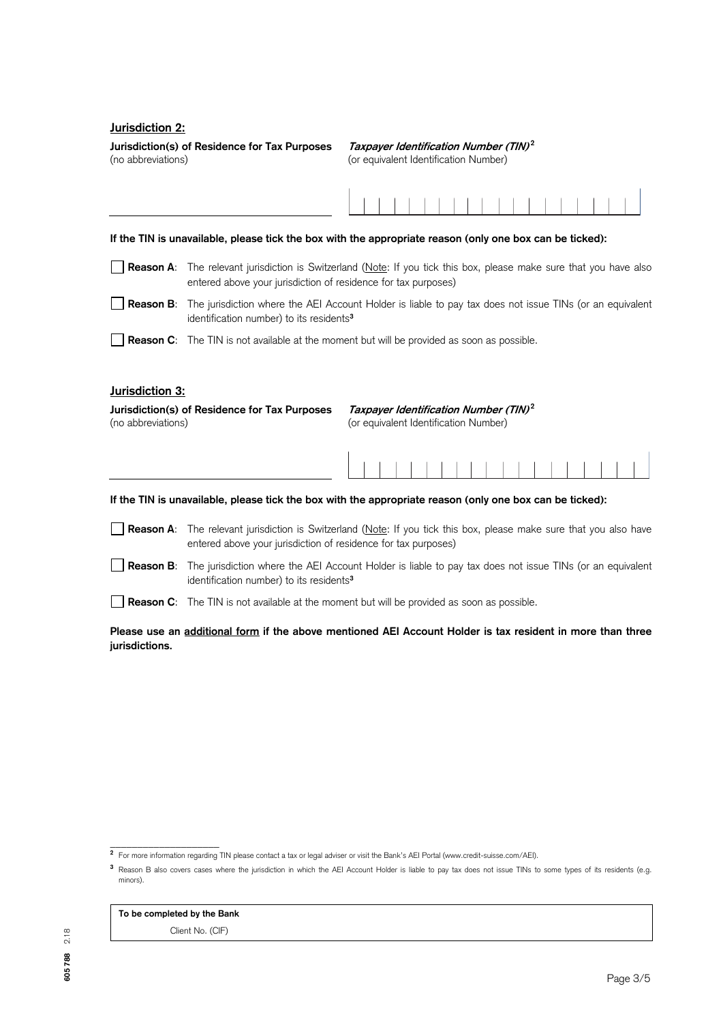# **Jurisdiction 2:**

**Jurisdiction(s) of Residence for Tax Purposes Taxpayer Identification Number (TIN)<sup>2</sup>** (no abbreviations) (or equivalent Identification Number)

#### **If the TIN is unavailable, please tick the box with the appropriate reason (only one box can be ticked):**

**Reason A**: The relevant jurisdiction is Switzerland (Note: If you tick this box, please make sure that you have also entered above your jurisdiction of residence for tax purposes)

 **Reason B**: The jurisdiction where the AEI Account Holder is liable to pay tax does not issue TINs (or an equivalent identification number) to its residents**<sup>3</sup>**

**Reason C**: The TIN is not available at the moment but will be provided as soon as possible.

# **Jurisdiction 3:**

| Jurisdiction(s) of Residence for Tax Purposes | Taxpayer Identification Number (TIN) <sup>2</sup> |
|-----------------------------------------------|---------------------------------------------------|
| (no abbreviations)                            | (or equivalent Identification Number)             |

### **If the TIN is unavailable, please tick the box with the appropriate reason (only one box can be ticked):**

- **Reason A**: The relevant jurisdiction is Switzerland (Note: If you tick this box, please make sure that you also have entered above your jurisdiction of residence for tax purposes)
- **Reason B**: The jurisdiction where the AEI Account Holder is liable to pay tax does not issue TINs (or an equivalent identification number) to its residents**<sup>3</sup>**

**Reason C**: The TIN is not available at the moment but will be provided as soon as possible.

**Please use an additional form if the above mentioned AEI Account Holder is tax resident in more than three jurisdictions.** 

### **To be completed by the Bank**

\_\_\_\_\_\_\_\_\_\_\_\_\_\_\_\_\_\_\_\_

Client No. (CIF)

**<sup>2</sup>** For more information regarding TIN please contact a tax or legal adviser or visit the Bank's AEI Portal (www.credit-suisse.com/AEI).

**<sup>3</sup>** Reason B also covers cases where the jurisdiction in which the AEI Account Holder is liable to pay tax does not issue TINs to some types of its residents (e.g. minors).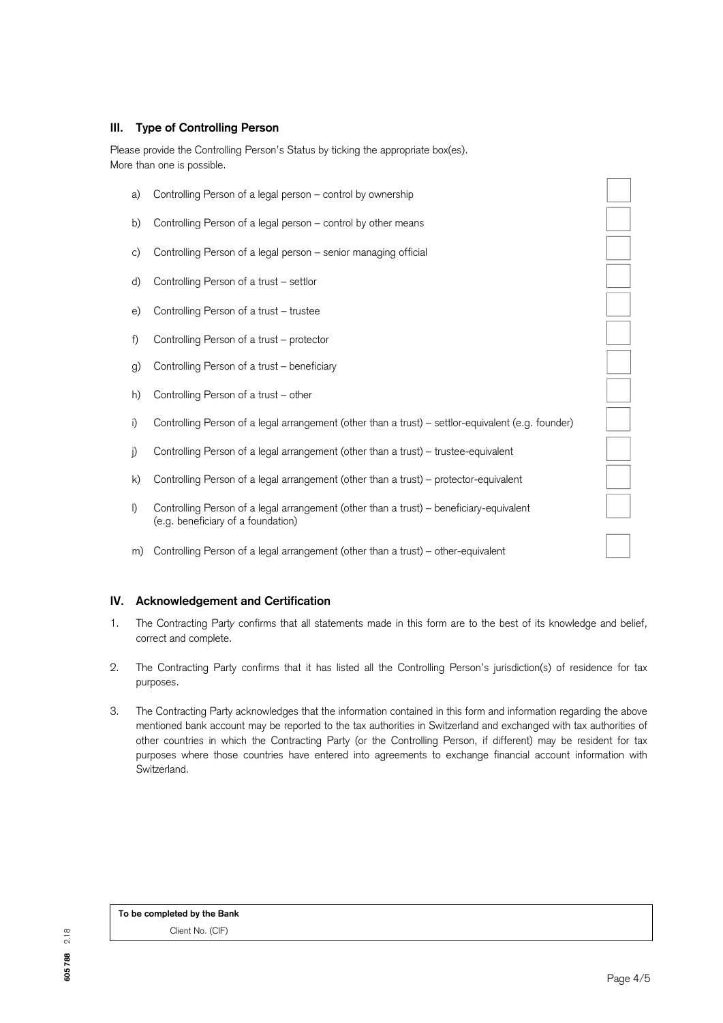# **III. Type of Controlling Person**

Please provide the Controlling Person's Status by ticking the appropriate box(es). More than one is possible.

- a) Controlling Person of a legal person control by ownership
- b) Controlling Person of a legal person control by other means
- c) Controlling Person of a legal person senior managing official
- d) Controlling Person of a trust settlor
- e) Controlling Person of a trust trustee
- f) Controlling Person of a trust protector
- g) Controlling Person of a trust beneficiary
- h) Controlling Person of a trust other
- i) Controlling Person of a legal arrangement (other than a trust) settlor-equivalent (e.g. founder)
- j) Controlling Person of a legal arrangement (other than a trust) trustee-equivalent
- k) Controlling Person of a legal arrangement (other than a trust) protector-equivalent
- l) Controlling Person of a legal arrangement (other than a trust) beneficiary-equivalent (e.g. beneficiary of a foundation)
- m) Controlling Person of a legal arrangement (other than a trust) other-equivalent

# **IV. Acknowledgement and Certification**

- 1. The Contracting Part*y* confirms that all statements made in this form are to the best of its knowledge and belief, correct and complete.
- 2. The Contracting Party confirms that it has listed all the Controlling Person's jurisdiction(s) of residence for tax purposes.
- 3. The Contracting Party acknowledges that the information contained in this form and information regarding the above mentioned bank account may be reported to the tax authorities in Switzerland and exchanged with tax authorities of other countries in which the Contracting Party (or the Controlling Person, if different) may be resident for tax purposes where those countries have entered into agreements to exchange financial account information with Switzerland.

**To be completed by the Bank** Client No. (CIF)